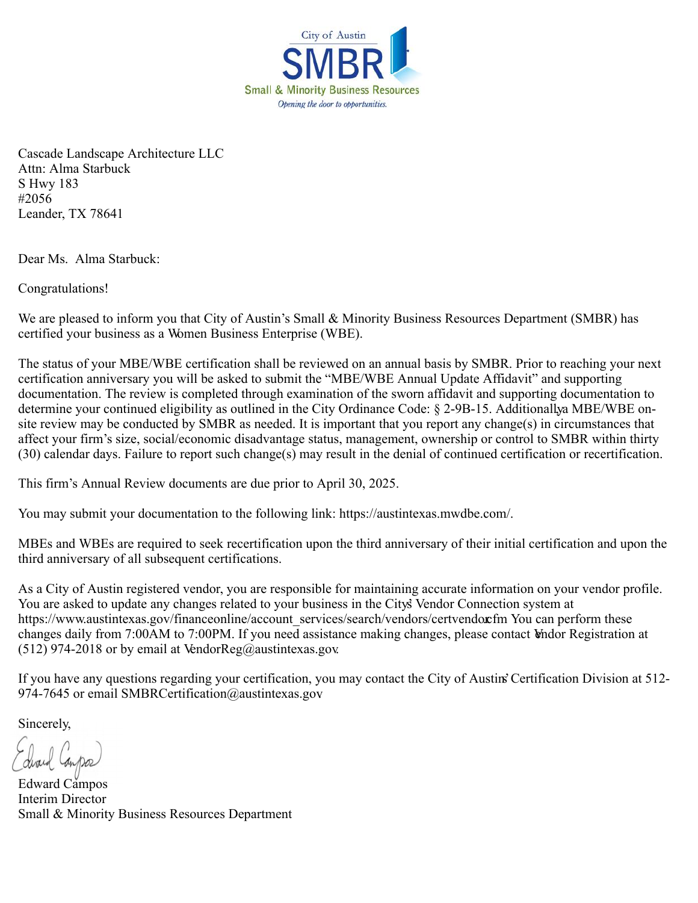

Cascade Landscape Architecture LLC Attn: Alma Starbuck S Hwy 183 #2056 Leander, TX 78641

Dear Ms. Alma Starbuck:

Congratulations!

We are pleased to inform you that City of Austin's Small & Minority Business Resources Department (SMBR) has certified your business as a Women Business Enterprise (WBE).

The status of your MBE/WBE certification shall be reviewed on an annual basis by SMBR. Prior to reaching your next certification anniversary you will be asked to submit the "MBE/WBE Annual Update Affidavit" and supporting documentation. The review is completed through examination of the sworn affidavit and supporting documentation to determine your continued eligibility as outlined in the City Ordinance Code: § 2-9B-15. Additionallya MBE/WBE onsite review may be conducted by SMBR as needed. It is important that you report any change(s) in circumstances that affect your firm's size, social/economic disadvantage status, management, ownership or control to SMBR within thirty (30) calendar days. Failure to report such change(s) may result in the denial of continued certification or recertification.

This firm's Annual Review documents are due prior to April 30, 2025.

You may submit your documentation to the following link: https://austintexas.mwdbe.com/.

MBEs and WBEs are required to seek recertification upon the third anniversary of their initial certification and upon the third anniversary of all subsequent certifications.

As a City of Austin registered vendor, you are responsible for maintaining accurate information on your vendor profile. You are asked to update any changes related to your business in the City's Vendor Connection system at https://www.austintexas.gov/financeonline/account\_services/search/vendors/certvendor.fm You can perform these changes daily from 7:00AM to 7:00PM. If you need assistance making changes, please contact Vendor Registration at (512) 974-2018 or by email at VendorReg@austintexas.gov.

If you have any questions regarding your certification, you may contact the City of Austin's Certification Division at 512- 974-7645 or email SMBRCertification@austintexas.gov

Sincerely,

Edward Campos Interim Director Small & Minority Business Resources Department